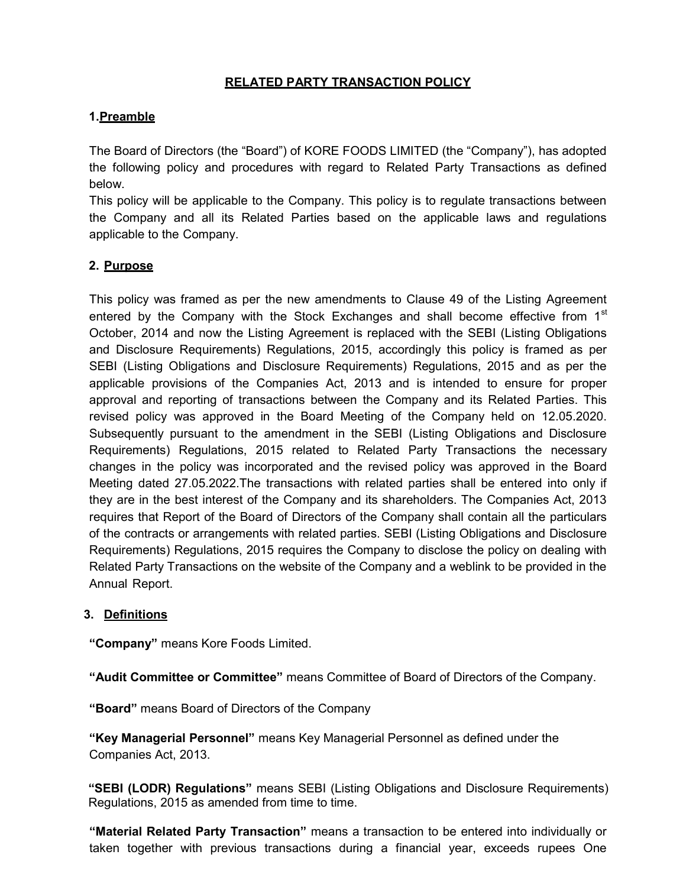# RELATED PARTY TRANSACTION POLICY

## 1. Preamble

The Board of Directors (the "Board") of KORE FOODS LIMITED (the "Company"), has adopted the following policy and procedures with regard to Related Party Transactions as defined below.

This policy will be applicable to the Company. This policy is to regulate transactions between the Company and all its Related Parties based on the applicable laws and regulations applicable to the Company.

## 2. Purpose

This policy was framed as per the new amendments to Clause 49 of the Listing Agreement entered by the Company with the Stock Exchanges and shall become effective from  $1<sup>st</sup>$ October, 2014 and now the Listing Agreement is replaced with the SEBI (Listing Obligations and Disclosure Requirements) Regulations, 2015, accordingly this policy is framed as per SEBI (Listing Obligations and Disclosure Requirements) Regulations, 2015 and as per the applicable provisions of the Companies Act, 2013 and is intended to ensure for proper approval and reporting of transactions between the Company and its Related Parties. This revised policy was approved in the Board Meeting of the Company held on 12.05.2020. Subsequently pursuant to the amendment in the SEBI (Listing Obligations and Disclosure Requirements) Regulations, 2015 related to Related Party Transactions the necessary changes in the policy was incorporated and the revised policy was approved in the Board Meeting dated 27.05.2022.The transactions with related parties shall be entered into only if they are in the best interest of the Company and its shareholders. The Companies Act, 2013 requires that Report of the Board of Directors of the Company shall contain all the particulars of the contracts or arrangements with related parties. SEBI (Listing Obligations and Disclosure Requirements) Regulations, 2015 requires the Company to disclose the policy on dealing with Related Party Transactions on the website of the Company and a weblink to be provided in the Annual Report.

### 3. Definitions

"Company" means Kore Foods Limited.

"Audit Committee or Committee" means Committee of Board of Directors of the Company.

"Board" means Board of Directors of the Company

"Key Managerial Personnel" means Key Managerial Personnel as defined under the Companies Act, 2013.

"SEBI (LODR) Regulations" means SEBI (Listing Obligations and Disclosure Requirements) Regulations, 2015 as amended from time to time.

"Material Related Party Transaction" means a transaction to be entered into individually or taken together with previous transactions during a financial year, exceeds rupees One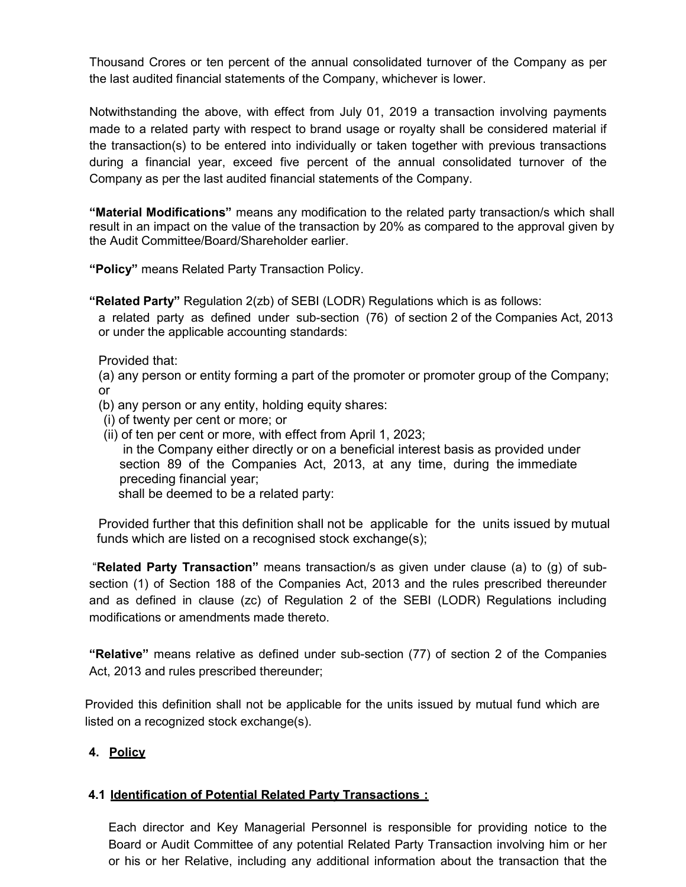Thousand Crores or ten percent of the annual consolidated turnover of the Company as per the last audited financial statements of the Company, whichever is lower.

Notwithstanding the above, with effect from July 01, 2019 a transaction involving payments made to a related party with respect to brand usage or royalty shall be considered material if the transaction(s) to be entered into individually or taken together with previous transactions during a financial year, exceed five percent of the annual consolidated turnover of the Company as per the last audited financial statements of the Company.

"Material Modifications" means any modification to the related party transaction/s which shall result in an impact on the value of the transaction by 20% as compared to the approval given by the Audit Committee/Board/Shareholder earlier.

"Policy" means Related Party Transaction Policy.

"Related Party" Regulation 2(zb) of SEBI (LODR) Regulations which is as follows:

a related party as defined under sub-section (76) of section 2 of the Companies Act, 2013 or under the applicable accounting standards:

Provided that:

(a) any person or entity forming a part of the promoter or promoter group of the Company; or

(b) any person or any entity, holding equity shares:

- (i) of twenty per cent or more; or
- (ii) of ten per cent or more, with effect from April 1, 2023;

 in the Company either directly or on a beneficial interest basis as provided under section 89 of the Companies Act, 2013, at any time, during the immediate preceding financial year;

shall be deemed to be a related party:

Provided further that this definition shall not be applicable for the units issued by mutual funds which are listed on a recognised stock exchange(s);

 "Related Party Transaction" means transaction/s as given under clause (a) to (g) of subsection (1) of Section 188 of the Companies Act, 2013 and the rules prescribed thereunder and as defined in clause (zc) of Regulation 2 of the SEBI (LODR) Regulations including modifications or amendments made thereto.

"Relative" means relative as defined under sub-section (77) of section 2 of the Companies Act, 2013 and rules prescribed thereunder;

Provided this definition shall not be applicable for the units issued by mutual fund which are listed on a recognized stock exchange(s).

# 4. Policy

# 4.1 Identification of Potential Related Party Transactions :

Each director and Key Managerial Personnel is responsible for providing notice to the Board or Audit Committee of any potential Related Party Transaction involving him or her or his or her Relative, including any additional information about the transaction that the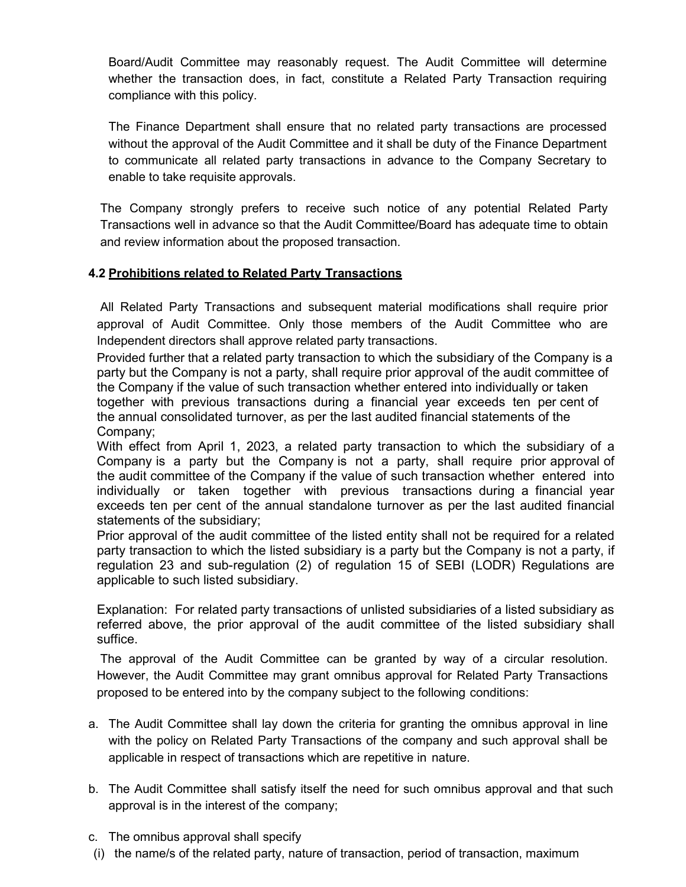Board/Audit Committee may reasonably request. The Audit Committee will determine whether the transaction does, in fact, constitute a Related Party Transaction requiring compliance with this policy.

The Finance Department shall ensure that no related party transactions are processed without the approval of the Audit Committee and it shall be duty of the Finance Department to communicate all related party transactions in advance to the Company Secretary to enable to take requisite approvals.

The Company strongly prefers to receive such notice of any potential Related Party Transactions well in advance so that the Audit Committee/Board has adequate time to obtain and review information about the proposed transaction.

## 4.2 Prohibitions related to Related Party Transactions

All Related Party Transactions and subsequent material modifications shall require prior approval of Audit Committee. Only those members of the Audit Committee who are Independent directors shall approve related party transactions.

Provided further that a related party transaction to which the subsidiary of the Company is a party but the Company is not a party, shall require prior approval of the audit committee of the Company if the value of such transaction whether entered into individually or taken together with previous transactions during a financial year exceeds ten per cent of the annual consolidated turnover, as per the last audited financial statements of the Company;

With effect from April 1, 2023, a related party transaction to which the subsidiary of a Company is a party but the Company is not a party, shall require prior approval of the audit committee of the Company if the value of such transaction whether entered into individually or taken together with previous transactions during a financial year exceeds ten per cent of the annual standalone turnover as per the last audited financial statements of the subsidiary;

Prior approval of the audit committee of the listed entity shall not be required for a related party transaction to which the listed subsidiary is a party but the Company is not a party, if regulation 23 and sub-regulation (2) of regulation 15 of SEBI (LODR) Regulations are applicable to such listed subsidiary.

Explanation: For related party transactions of unlisted subsidiaries of a listed subsidiary as referred above, the prior approval of the audit committee of the listed subsidiary shall suffice.

The approval of the Audit Committee can be granted by way of a circular resolution. However, the Audit Committee may grant omnibus approval for Related Party Transactions proposed to be entered into by the company subject to the following conditions:

- a. The Audit Committee shall lay down the criteria for granting the omnibus approval in line with the policy on Related Party Transactions of the company and such approval shall be applicable in respect of transactions which are repetitive in nature.
- b. The Audit Committee shall satisfy itself the need for such omnibus approval and that such approval is in the interest of the company;
- c. The omnibus approval shall specify
- (i) the name/s of the related party, nature of transaction, period of transaction, maximum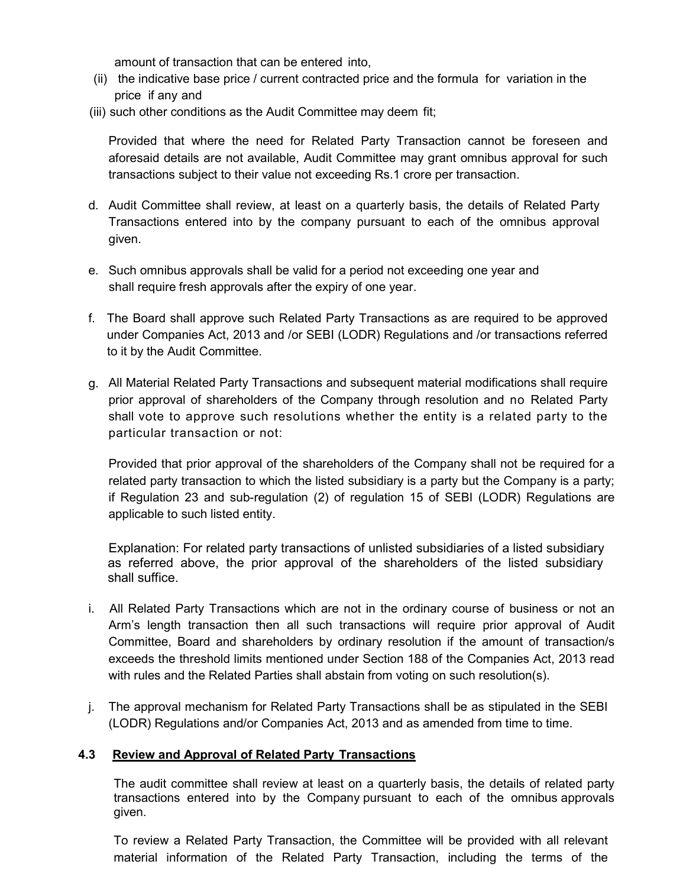amount of transaction that can be entered into,

- (ii) the indicative base price / current contracted price and the formula for variation in the price if any and
- (iii) such other conditions as the Audit Committee may deem fit;

Provided that where the need for Related Party Transaction cannot be foreseen and aforesaid details are not available, Audit Committee may grant omnibus approval for such transactions subject to their value not exceeding Rs.1 crore per transaction.

- d. Audit Committee shall review, at least on a quarterly basis, the details of Related Party Transactions entered into by the company pursuant to each of the omnibus approval given.
- e. Such omnibus approvals shall be valid for a period not exceeding one year and shall require fresh approvals after the expiry of one year.
- f. The Board shall approve such Related Party Transactions as are required to be approved under Companies Act, 2013 and /or SEBI (LODR) Regulations and /or transactions referred to it by the Audit Committee.
- g. All Material Related Party Transactions and subsequent material modifications shall require prior approval of shareholders of the Company through resolution and no Related Party shall vote to approve such resolutions whether the entity is a related party to the particular transaction or not:

Provided that prior approval of the shareholders of the Company shall not be required for a related party transaction to which the listed subsidiary is a party but the Company is a party; if Regulation 23 and sub-regulation (2) of regulation 15 of SEBI (LODR) Regulations are applicable to such listed entity.

Explanation: For related party transactions of unlisted subsidiaries of a listed subsidiary as referred above, the prior approval of the shareholders of the listed subsidiary shall suffice.

- i. All Related Party Transactions which are not in the ordinary course of business or not an Arm's length transaction then all such transactions will require prior approval of Audit Committee, Board and shareholders by ordinary resolution if the amount of transaction/s exceeds the threshold limits mentioned under Section 188 of the Companies Act, 2013 read with rules and the Related Parties shall abstain from voting on such resolution(s).
- j. The approval mechanism for Related Party Transactions shall be as stipulated in the SEBI (LODR) Regulations and/or Companies Act, 2013 and as amended from time to time.

### 4.3 Review and Approval of Related Party Transactions

The audit committee shall review at least on a quarterly basis, the details of related party transactions entered into by the Company pursuant to each of the omnibus approvals given.

To review a Related Party Transaction, the Committee will be provided with all relevant material information of the Related Party Transaction, including the terms of the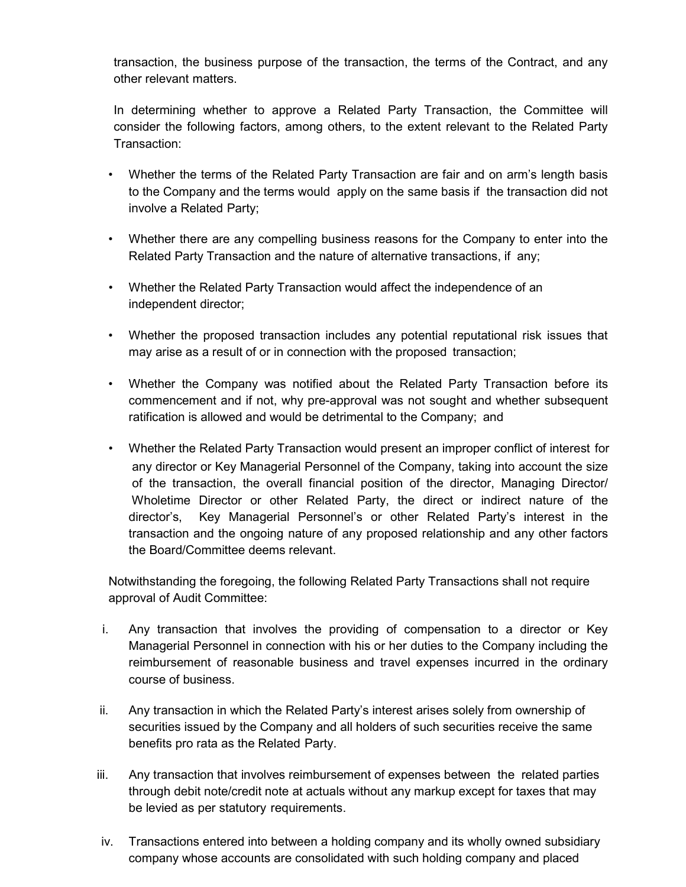transaction, the business purpose of the transaction, the terms of the Contract, and any other relevant matters.

In determining whether to approve a Related Party Transaction, the Committee will consider the following factors, among others, to the extent relevant to the Related Party Transaction:

- Whether the terms of the Related Party Transaction are fair and on arm's length basis to the Company and the terms would apply on the same basis if the transaction did not involve a Related Party;
- Whether there are any compelling business reasons for the Company to enter into the Related Party Transaction and the nature of alternative transactions, if any;
- Whether the Related Party Transaction would affect the independence of an independent director;
- Whether the proposed transaction includes any potential reputational risk issues that may arise as a result of or in connection with the proposed transaction;
- Whether the Company was notified about the Related Party Transaction before its commencement and if not, why pre-approval was not sought and whether subsequent ratification is allowed and would be detrimental to the Company; and
- Whether the Related Party Transaction would present an improper conflict of interest for any director or Key Managerial Personnel of the Company, taking into account the size of the transaction, the overall financial position of the director, Managing Director/ Wholetime Director or other Related Party, the direct or indirect nature of the director's, Key Managerial Personnel's or other Related Party's interest in the transaction and the ongoing nature of any proposed relationship and any other factors the Board/Committee deems relevant.

Notwithstanding the foregoing, the following Related Party Transactions shall not require approval of Audit Committee:

- i. Any transaction that involves the providing of compensation to a director or Key Managerial Personnel in connection with his or her duties to the Company including the reimbursement of reasonable business and travel expenses incurred in the ordinary course of business.
- ii. Any transaction in which the Related Party's interest arises solely from ownership of securities issued by the Company and all holders of such securities receive the same benefits pro rata as the Related Party.
- iii. Any transaction that involves reimbursement of expenses between the related parties through debit note/credit note at actuals without any markup except for taxes that may be levied as per statutory requirements.
- iv. Transactions entered into between a holding company and its wholly owned subsidiary company whose accounts are consolidated with such holding company and placed